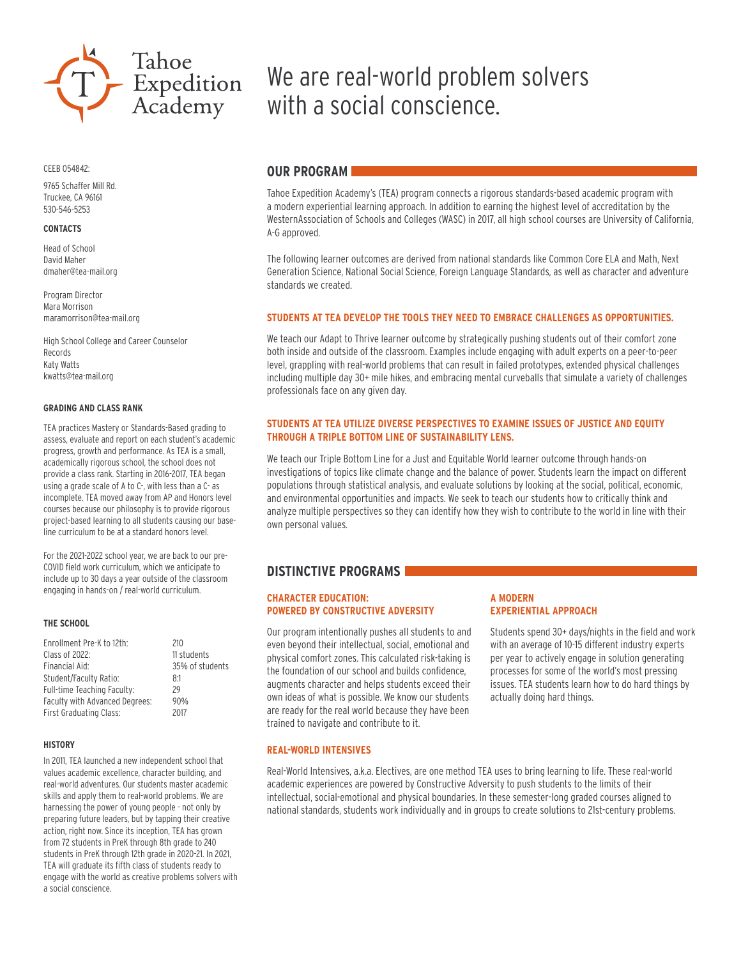

CEEB 054842:

9765 Schaffer Mill Rd. Truckee, CA 96161 530-546-5253

#### **CONTACTS**

Head of School David Maher dmaher@tea-mail.org

Program Director Mara Morrison maramorrison@tea-mail.org

High School College and Career Counselor Records Katy Watts kwatts@tea-mail.org

#### **GRADING AND CLASS RANK**

TEA practices Mastery or Standards-Based grading to assess, evaluate and report on each student's academic progress, growth and performance. As TEA is a small, academically rigorous school, the school does not provide a class rank. Starting in 2016-2017, TEA began using a grade scale of A to C-, with less than a C- as incomplete. TEA moved away from AP and Honors level courses because our philosophy is to provide rigorous project-based learning to all students causing our baseline curriculum to be at a standard honors level.

For the 2021-2022 school year, we are back to our pre-COVID field work curriculum, which we anticipate to include up to 30 days a year outside of the classroom engaging in hands-on / real-world curriculum.

#### **THE SCHOOL**

| Enrollment Pre-K to 12th:      | 210             |
|--------------------------------|-----------------|
| Class of 2022:                 | 11 students     |
| Financial Aid:                 | 35% of students |
| Student/Faculty Ratio:         | 8:1             |
| Full-time Teaching Faculty:    | 29              |
| Faculty with Advanced Degrees: | 90%             |
| First Graduating Class:        | 2017            |
|                                |                 |

#### **HISTORY**

In 2011, TEA launched a new independent school that values academic excellence, character building, and real-world adventures. Our students master academic skills and apply them to real-world problems. We are harnessing the power of young people - not only by preparing future leaders, but by tapping their creative action, right now. Since its inception, TEA has grown from 72 students in PreK through 8th grade to 240 students in PreK through 12th grade in 2020-21. In 2021, TEA will graduate its fifth class of students ready to engage with the world as creative problems solvers with a social conscience.

# We are real-world problem solvers with a social conscience.

### **OUR PROGRAM**

Tahoe Expedition Academy's (TEA) program connects a rigorous standards-based academic program with a modern experiential learning approach. In addition to earning the highest level of accreditation by the WesternAssociation of Schools and Colleges (WASC) in 2017, all high school courses are University of California, A-G approved.

The following learner outcomes are derived from national standards like Common Core ELA and Math, Next Generation Science, National Social Science, Foreign Language Standards, as well as character and adventure standards we created.

### **STUDENTS AT TEA DEVELOP THE TOOLS THEY NEED TO EMBRACE CHALLENGES AS OPPORTUNITIES.**

We teach our Adapt to Thrive learner outcome by strategically pushing students out of their comfort zone both inside and outside of the classroom. Examples include engaging with adult experts on a peer-to-peer level, grappling with real-world problems that can result in failed prototypes, extended physical challenges including multiple day 30+ mile hikes, and embracing mental curveballs that simulate a variety of challenges professionals face on any given day.

### **STUDENTS AT TEA UTILIZE DIVERSE PERSPECTIVES TO EXAMINE ISSUES OF JUSTICE AND EQUITY THROUGH A TRIPLE BOTTOM LINE OF SUSTAINABILITY LENS.**

We teach our Triple Bottom Line for a Just and Equitable World learner outcome through hands-on investigations of topics like climate change and the balance of power. Students learn the impact on different populations through statistical analysis, and evaluate solutions by looking at the social, political, economic, and environmental opportunities and impacts. We seek to teach our students how to critically think and analyze multiple perspectives so they can identify how they wish to contribute to the world in line with their own personal values.

## **DISTINCTIVE PROGRAMS**

### **CHARACTER EDUCATION: POWERED BY CONSTRUCTIVE ADVERSITY**

Our program intentionally pushes all students to and even beyond their intellectual, social, emotional and physical comfort zones. This calculated risk-taking is the foundation of our school and builds confidence, augments character and helps students exceed their own ideas of what is possible. We know our students are ready for the real world because they have been trained to navigate and contribute to it.

#### **REAL-WORLD INTENSIVES**

### **A MODERN EXPERIENTIAL APPROACH**

Students spend 30+ days/nights in the field and work with an average of 10-15 different industry experts per year to actively engage in solution generating processes for some of the world's most pressing issues. TEA students learn how to do hard things by actually doing hard things.

Real-World Intensives, a.k.a. Electives, are one method TEA uses to bring learning to life. These real-world academic experiences are powered by Constructive Adversity to push students to the limits of their intellectual, social-emotional and physical boundaries. In these semester-long graded courses aligned to national standards, students work individually and in groups to create solutions to 21st-century problems.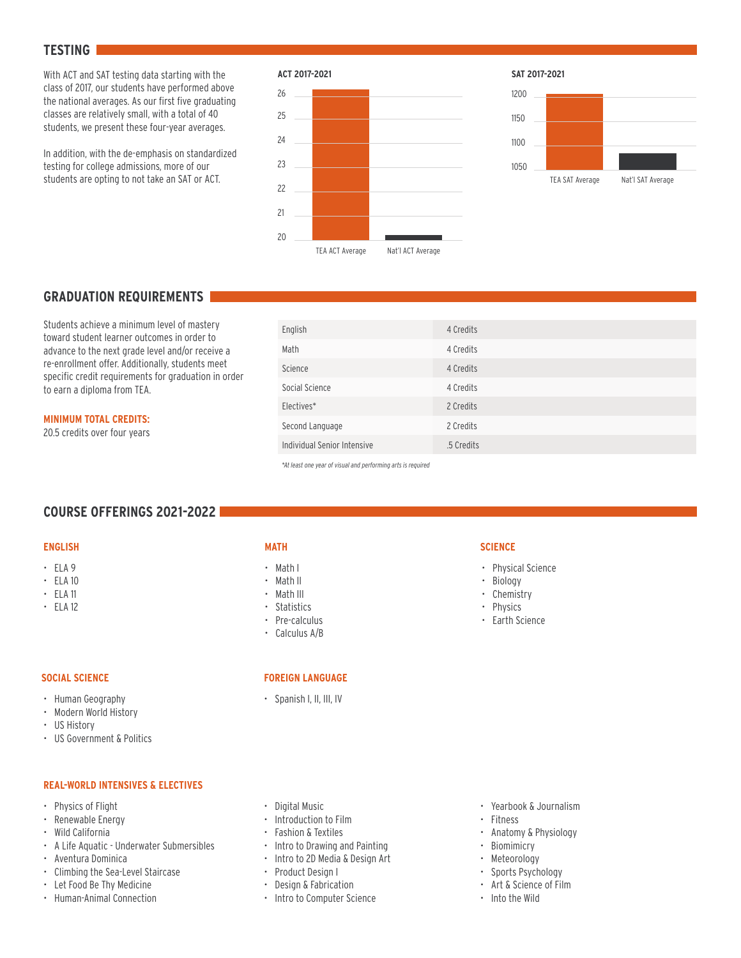### **TESTING**

With ACT and SAT testing data starting with the class of 2017, our students have performed above the national averages. As our first five graduating classes are relatively small, with a total of 40 students, we present these four-year averages.

In addition, with the de-emphasis on standardized testing for college admissions, more of our students are opting to not take an SAT or ACT.





# **GRADUATION REQUIREMENTS**

Students achieve a minimum level of mastery toward student learner outcomes in order to advance to the next grade level and/or receive a re-enrollment offer. Additionally, students meet specific credit requirements for graduation in order to earn a diploma from TEA.

### **MINIMUM TOTAL CREDITS:**

20.5 credits over four years

| English                     | 4 Credits  |
|-----------------------------|------------|
| Math                        | 4 Credits  |
| Science                     | 4 Credits  |
| Social Science              | 4 Credits  |
| Electives*                  | 2 Credits  |
| Second Language             | 2 Credits  |
| Individual Senior Intensive | .5 Credits |

*\*At least one year of visual and performing arts is required*

# **COURSE OFFERINGS 2021-2022**

### **ENGLISH**

- ELA 9
- ELA 10
- ELA 11
- ELA 12

## **MATH**

- Math I
- Math II
- Math III
- Statistics
- Pre-calculus
- Calculus A/B

# **SOCIAL SCIENCE**

- Human Geography
- Modern World History
- US History
- US Government & Politics

### **REAL-WORLD INTENSIVES & ELECTIVES**

- Physics of Flight
- Renewable Energy
- Wild California
- A Life Aquatic Underwater Submersibles
- Aventura Dominica
- Climbing the Sea-Level Staircase
- Let Food Be Thy Medicine
- Human-Animal Connection

# **FOREIGN LANGUAGE**

• Spanish I, II, III, IV

### **SCIENCE**

- Physical Science
- Biology
- Chemistry
- Physics
- Earth Science

- Digital Music
- Introduction to Film
- Fashion & Textiles
- Intro to Drawing and Painting
- Intro to 2D Media & Design Art
- Product Design I
- Design & Fabrication
- Intro to Computer Science

### • Yearbook & Journalism

- Fitness
- Anatomy & Physiology
- Biomimicry
- Meteorology
- Sports Psychology
- Art & Science of Film
- Into the Wild